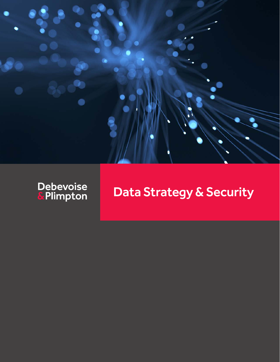



# Data Strategy & Security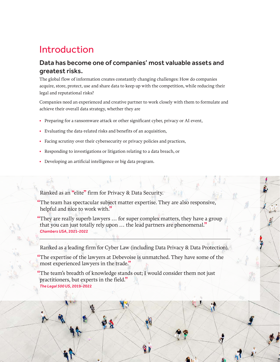## Introduction

### Data has become one of companies' most valuable assets and greatest risks.

The global flow of information creates constantly changing challenges: How do companies acquire, store, protect, use and share data to keep up with the competition, while reducing their legal and reputational risks?

Companies need an experienced and creative partner to work closely with them to formulate and achieve their overall data strategy, whether they are

- **•** Preparing for a ransomware attack or other significant cyber, privacy or AI event,
- **•** Evaluating the data-related risks and benefits of an acquisition,
- **•** Facing scrutiny over their cybersecurity or privacy policies and practices,
- **•** Responding to investigations or litigation relating to a data breach, or
- **•** Developing an artificial intelligence or big data program.

Ranked as an "elite" firm for Privacy & Data Security.

"The team has spectacular subject matter expertise. They are also responsive, helpful and nice to work with."

"They are really superb lawyers … for super complex matters, they have a group that you can just totally rely upon … the lead partners are phenomenal." *Chambers USA*, 2021-2022

Ranked as a leading firm for Cyber Law (including Data Privacy & Data Protection).

"The expertise of the lawyers at Debevoise is unmatched. They have some of the most experienced lawyers in the trade."

 $\mathcal{L}$ 

 $\sigma$ 

"The team's breadth of knowledge stands out; I would consider them not just practitioners, but experts in the field."

*The Legal 500 US*, 2019-2022

R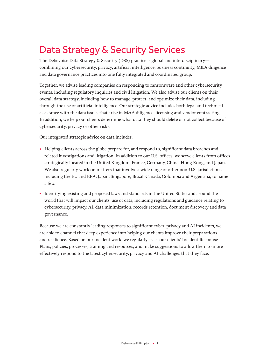## Data Strategy & Security Services

The Debevoise Data Strategy & Security (DSS) practice is global and interdisciplinary combining our cybersecurity, privacy, artificial intelligence, business continuity, M&A diligence and data governance practices into one fully integrated and coordinated group.

Together, we advise leading companies on responding to ransomware and other cybersecurity events, including regulatory inquiries and civil litigation. We also advise our clients on their overall data strategy, including how to manage, protect, and optimize their data, including through the use of artificial intelligence. Our strategic advice includes both legal and technical assistance with the data issues that arise in M&A diligence, licensing and vendor contracting. In addition, we help our clients determine what data they should delete or not collect because of cybersecurity, privacy or other risks.

Our integrated strategic advice on data includes:

- **•** Helping clients across the globe prepare for, and respond to, significant data breaches and related investigations and litigation. In addition to our U.S. offices, we serve clients from offices strategically located in the United Kingdom, France, Germany, China, Hong Kong, and Japan. We also regularly work on matters that involve a wide range of other non-U.S. jurisdictions, including the EU and EEA, Japan, Singapore, Brazil, Canada, Colombia and Argentina, to name a few.
- **•** Identifying existing and proposed laws and standards in the United States and around the world that will impact our clients' use of data, including regulations and guidance relating to cybersecurity, privacy, AI, data minimization, records retention, document discovery and data governance.

Because we are constantly leading responses to significant cyber, privacy and AI incidents, we are able to channel that deep experience into helping our clients improve their preparations and resilience. Based on our incident work, we regularly asses our clients' Incident Response Plans, policies, processes, training and resources, and make suggestions to allow them to more effectively respond to the latest cybersecurity, privacy and AI challenges that they face.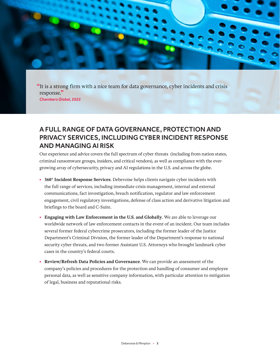"It is a strong firm with a nice team for data governance, cyber incidents and crisis response. " *Chambers Global*, 2022

### A FULL RANGE OF DATA GOVERNANCE, PROTECTION AND PRIVACY SERVICES, INCLUDING CYBER INCIDENT RESPONSE AND MANAGING AI RISK

Our experience and advice covers the full spectrum of cyber threats (including from nation states, criminal ransomware groups, insiders, and critical vendors), as well as compliance with the evergrowing array of cybersecurity, privacy and AI regulations in the U.S. and across the globe.

- **• 360° Incident Response Services**. Debevoise helps clients navigate cyber incidents with the full range of services, including immediate crisis management, internal and external communications, fact investigation, breach notification, regulator and law enforcement engagement, civil regulatory investigations, defense of class action and derivative litigation and briefings to the board and C-Suite.
- **• Engaging with Law Enforcement in the U.S. and Globally**. We are able to leverage our worldwide network of law enforcement contacts in the event of an incident. Our team includes several former federal cybercrime prosecutors, including the former leader of the Justice Department's Criminal Division, the former leader of the Department's response to national security cyber threats, and two former Assistant U.S. Attorneys who brought landmark cyber cases in the country's federal courts.
- **• Review/Refresh Data Policies and Governance**. We can provide an assessment of the company's policies and procedures for the protection and handling of consumer and employee personal data, as well as sensitive company information, with particular attention to mitigation of legal, business and reputational risks.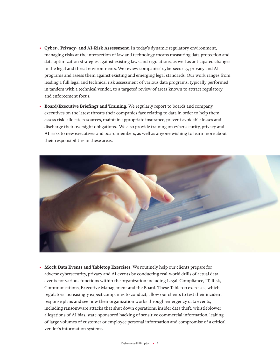- **• Cyber-, Privacy- and AI-Risk Assessment**. In today's dynamic regulatory environment, managing risks at the intersection of law and technology means measuring data protection and data optimization strategies against existing laws and regulations, as well as anticipated changes in the legal and threat environments. We review companies' cybersecurity, privacy and AI programs and assess them against existing and emerging legal standards. Our work ranges from leading a full legal and technical risk assessment of various data programs, typically performed in tandem with a technical vendor, to a targeted review of areas known to attract regulatory and enforcement focus.
- **• Board/Executive Briefings and Training**. We regularly report to boards and company executives on the latest threats their companies face relating to data in order to help them assess risk, allocate resources, maintain appropriate insurance, prevent avoidable losses and discharge their oversight obligations. We also provide training on cybersecurity, privacy and AI risks to new executives and board members, as well as anyone wishing to learn more about their responsibilities in these areas.



**• Mock Data Events and Tabletop Exercises**. We routinely help our clients prepare for adverse cybersecurity, privacy and AI events by conducting real-world drills of actual data events for various functions within the organization including Legal, Compliance, IT, Risk, Communications, Executive Management and the Board. These Tabletop exercises, which regulators increasingly expect companies to conduct, allow our clients to test their incident response plans and see how their organization works through emergency data events, including ransomware attacks that shut down operations, insider data theft, whistleblower allegations of AI bias, state-sponsored hacking of sensitive commercial information, leaking of large volumes of customer or employee personal information and compromise of a critical vendor's information systems.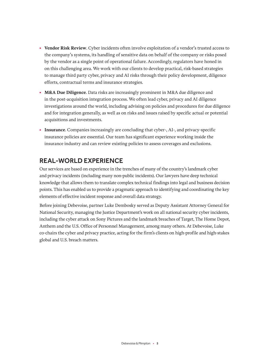- **• Vendor Risk Review**. Cyber incidents often involve exploitation of a vendor's trusted access to the company's systems, its handling of sensitive data on behalf of the company or risks posed by the vendor as a single point of operational failure. Accordingly, regulators have honed in on this challenging area. We work with our clients to develop practical, risk-based strategies to manage third party cyber, privacy and AI risks through their policy development, diligence efforts, contractual terms and insurance strategies.
- **• M&A Due Diligence**. Data risks are increasingly prominent in M&A due diligence and in the post-acquisition integration process. We often lead cyber, privacy and AI diligence investigations around the world, including advising on policies and procedures for due diligence and for integration generally, as well as on risks and issues raised by specific actual or potential acquisitions and investments.
- **• Insurance**. Companies increasingly are concluding that cyber-, AI-, and privacy-specific insurance policies are essential. Our team has significant experience working inside the insurance industry and can review existing policies to assess coverages and exclusions.

### REAL-WORLD EXPERIENCE

Our services are based on experience in the trenches of many of the country's landmark cyber and privacy incidents (including many non-public incidents). Our lawyers have deep technical knowledge that allows them to translate complex technical findings into legal and business decision points. This has enabled us to provide a pragmatic approach to identifying and coordinating the key elements of effective incident response and overall data strategy.

Before joining Debevoise, partner Luke Dembosky served as Deputy Assistant Attorney General for National Security, managing the Justice Department's work on all national security cyber incidents, including the cyber attack on Sony Pictures and the landmark breaches of Target, The Home Depot, Anthem and the U.S. Office of Personnel Management, among many others. At Debevoise, Luke co-chairs the cyber and privacy practice, acting for the firm's clients on high-profile and high-stakes global and U.S. breach matters.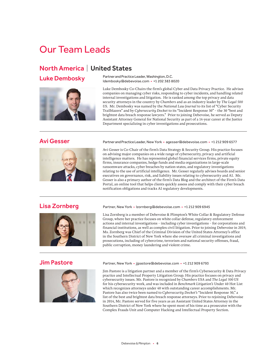## Our Team Leads

### North America | United States



Luke Dembosky Partner and Practice Leader, Washington, D.C.<br>
ldembosky@debevoise.com • +1 202 383 8020

Luke Dembosky Co-Chairs the firm's global Cyber and Data Privacy Practice. He advises companies on managing cyber risks, responding to cyber incidents, and handling related internal investigations and litigation. He is ranked among the top privacy and data security attorneys in the country by *Chambers* and as an industry leader by *The Legal 500 US*. Mr. Dembosky was named by the *National Law Journal* to its list of "Cyber Security Trailblazers" and by *Cybersecurity Docket* to its "Incident Response 30" – the 30 "best and brightest data breach response lawyers." Prior to joining Debevoise, he served as Deputy Assistant Attorney General for National Security as part of a 14-year career at the Justice Department specializing in cyber investigations and prosecutions.



Avi Gesser Partner and Practice Leader, New York • agesser@debevoise.com • +1 212 909 6577

Avi Gesser is Co-Chair of the firm's Data Strategy & Security Group. His practice focuses on advising major companies on a wide range of cybersecurity, privacy and artificial intelligence matters. He has represented global financial services firms, private equity firms, insurance companies, hedge funds and media organizations in large-scale ransomware attacks, cyber breaches by nation-states, and regulatory investigations relating to the use of artificial intelligence. Mr. Gesser regularly advises boards and senior executives on governance, risk, and liability issues relating to cybersecurity and AI. Mr. Gesser is also a primary author of the firm's Data Blog and the architect of the Firm's Data Portal, an online tool that helps clients quickly assess and comply with their cyber breach notification obligations and tracks AI regulatory developments.



Lisa Zornberg Partner, New York • Izornberg@debevoise.com • +1 212 909 6945

Lisa Zornberg is a member of Debevoise & Plimpton's White Collar & Regulatory Defense Group, where her practice focuses on white collar defense, regulatory enforcement actions and internal investigations – including cyber investigations – for corporations and financial institutions, as well as complex civil litigation. Prior to joining Debevoise in 2019, Ms. Zornberg was Chief of the Criminal Division of the United States Attorney's office in the Southern District of New York where she oversaw all criminal investigations and prosecutions, including of cybercrime, terrorism and national security offenses, fraud, public corruption, money laundering and violent crime.



Jim Pastore Partner, New York • jjpastore@debevoise.com • +1 212 909 6793

Jim Pastore is a litigation partner and a member of the firm's Cybersecurity & Data Privacy practice and Intellectual Property Litigation Group. His practice focuses on privacy and cybersecurity issues. Mr. Pastore is recognized by *Chambers USA* and *The Legal 500 US* for his cybersecurity work, and was included in *Benchmark Litigation's* Under 40 Hot List which recognizes attorneys under 40 with outstanding career accomplishments. Mr. Pastore has also twice been named to *Cybersecurity Docket's* "Incident Response 30," a list of the best and brightest data breach response attorneys. Prior to rejoining Debevoise in 2014, Mr. Pastore served for five years as an Assistant United States Attorney in the Southern District of New York where he spent most of his time as a prosecutor with the Complex Frauds Unit and Computer Hacking and Intellectual Property Section.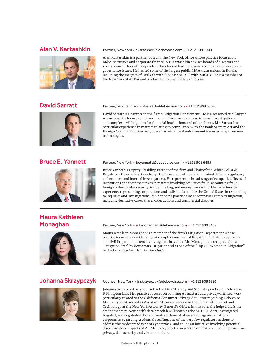

### Alan V. Kartashkin Partner, New York • akartashkin@debevoise.com • +1 212 909 6000

Alan Kartashkin is a partner based in the New York office whose practice focuses on M&A, securities and corporate finance. Mr. Kartashkin advises boards of directors and special committees of independent directors of leading Russian companies on corporate governance issues. He has led some of the largest public M&A transactions in Russia, including the mergers of Uralkali with Silvinit and RTS with MICEX. He is a member of the New York State Bar and is admitted to practice law in Russia.



David Sarratt Partner, San Francisco • dsarratt@debevoise.com • +1 212 909 6864

David Sarratt is a partner in the firm's Litigation Department. He is a seasoned trial lawyer whose practice focuses on government enforcement actions, internal investigations and complex civil litigation for financial institutions and other clients. Mr. Sarratt has particular experience in matters relating to compliance with the Bank Secrecy Act and the Foreign Corrupt Practices Act, as well as with novel enforcement issues arising from new technologies.



### Bruce E. Yannett Partner, New York • beyannett@debevoise.com • +1 212 909 6495

Bruce Yannett is Deputy Presiding Partner of the firm and Chair of the White Collar & Regulatory Defense Practice Group. He focuses on white collar criminal defense, regulatory enforcement and internal investigations. He represents a broad range of companies, financial institutions and their executives in matters involving securities fraud, accounting fraud, foreign bribery, cybersecurity, insider trading, and money laundering. He has extensive experience representing corporations and individuals outside the United States in responding to inquiries and investigations. Mr. Yannett's practice also encompasses complex litigation, including derivative cases, shareholder actions and commercial disputes.

## Maura Kathleen



Monaghan Partner, New York • mkmonaghan@debevoise.com • +1 212 909 7459

Maura Kathleen Monaghan is a member of the firm's Litigation Department whose practice focuses on a wide range of complex commercial litigation, including regulatory and civil litigation matters involving data breaches. Ms. Monaghan is recognized as a "Litigation Star" by *Benchmark Litigation* and as one of the "Top 250 Women in Litigation" in the *IFLR Benchmark Litigation Guide.*



Johanna Skrzypczyk Counsel, New York • jnskrzypczyk@debevoise.com • +1 212 909 6291

Johanna Skrzypczyk is a counsel in the Data Strategy and Security practice of Debevoise & Plimpton LLP. Her practice focuses on advising AI matters and privacy-oriented work, particularly related to the California Consumer Privacy Act. Prior to joining Debevoise, Ms. Skrzypczyk served as Assistant Attorney General in the Bureau of Internet and Technology at the New York Attorney General's Office. In this role, she helped draft the amendments to New York's data breach law (known as the SHIELD Act), investigated, litigated, and negotiated the landmark settlement of an action against a national corporation regarding credential stuffing, one of the very few regulatory actions to address this widespread type of cyberattack, and co-led an initiative involving potential discriminatory impacts of AI. Ms. Skrzypczyk also worked on matters involving consumer privacy, data security and virtual markets.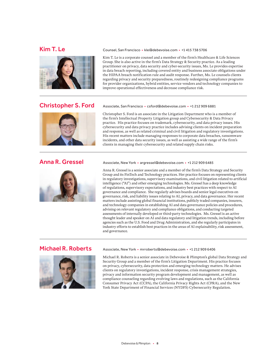



### Christopher S. Ford Associate, San Francisco · csford@debevoise.com · +1 212 909 6881

Christopher S. Ford is an associate in the Litigation Department who is a member of the firm's Intellectual Property Litigation group and Cybersecurity & Data Privacy practice. His practice focuses on trademark, cybersecurity, and data privacy issues. His cybersecurity and data privacy practice includes advising clients on incident preparation and response, as well as related criminal and civil litigation and regulatory investigations. His recent matters include managing responses to corporate data breaches, ransomware incidents, and other data security issues, as well as assisting a wide range of the firm's clients in managing their cybersecurity and related supply chain risks.

Kim T. Le is a corporate counsel and a member of the firm's Healthcare & Life Sciences Group. She is also active in the firm's Data Strategy & Security practice. As a leading practitioner on privacy, data security and cyber-security issues, Ms. Le provides expertise in data breach reporting, including covered entity and business associate obligations under the HIPAA breach notification rule and audit response. Further, Ms. Le counsels clients regarding privacy and security preparedness, routinely redesigning compliance programs for provider organizations, hybrid entities, service vendors and technology companies to



Anna R. Gressel Associate, New York • argressel@debevoise.com • +1 212 909 6485

Anna R. Gressel is a senior associate and a member of the firm's Data Strategy and Security Group and its FinTech and Technology practices. Her practice focuses on representing clients in regulatory investigations, supervisory examinations, and civil litigation related to artificial intelligence ("AI") and other emerging technologies. Ms. Gressel has a deep knowledge of regulations, supervisory expectations, and industry best practices with respect to AI governance and compliance. She regularly advises boards and senior legal executives on governance, risk, and liability issues relating to AI, privacy, and data governance. Her recent matters include assisting global financial institutions, publicly traded companies, insurers, and technology companies in establishing AI and data governance policies and procedures, advising on relevant regulatory and compliance obligations, and conducting targeted assessments of internally developed or third-party technologies. Ms. Gressel is an active thought leader and speaker on AI and data regulatory and litigation trends, including before agencies such as the U.S. Food and Drug Administration, and she regularly participates in industry efforts to establish best practices in the areas of AI explainability, risk assessment, and governance.



### Michael R. Roberts Associate, New York • mrroberts@debevoise.com • +1 212 909 6406

Michael R. Roberts is a senior associate in Debevoise & Plimpton's global Data Strategy and Security Group and a member of the firm's Litigation Department. His practice focuses on privacy, cybersecurity, data protection and emerging technology matters. He advises clients on regulatory investigations, incident response, crisis management strategies, privacy and information security program development and management, as well as compliance counseling regarding evolving laws and regulations, such as the California Consumer Privacy Act (CCPA), the California Privacy Rights Act (CPRA), and the New York State Department of Financial Services (NYDFS) Cybersecurity Regulation.

### Kim T. Le Counsel, San Francisco • kle@debevoise.com • +1 415 738 5706

improve operational effectiveness and decrease compliance risk.

Debevoise & Plimpton • **8**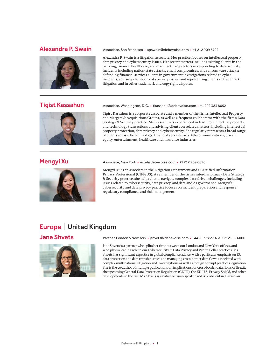

litigation and in other trademark and copyright disputes.



Tigist Kassahun Associate, Washington, D.C. • tkassahu@debevoise.com • +1 202 383 8052

Tigist Kassahun is a corporate associate and a member of the firm's Intellectual Property and Mergers & Acquisitions Groups, as well as a frequent collaborator with the firm's Data Strategy & Security practice. Ms. Kassahun is experienced in leading intellectual property and technology transactions and advising clients on related matters, including intellectual property protection, data privacy and cybersecurity. She regularly represents a broad range of clients across the technology, financial services, arts, telecommunications, private equity, entertainment, healthcare and insurance industries.



### Mengyi Xu Associate, New York • mxu@debevoise.com • +1 212 909 6826

Mengyi Xu is an associate in the Litigation Department and a Certified Information Privacy Professional (CIPP/US). As a member of the firm's interdisciplinary Data Strategy & Security practice, she helps clients navigate complex data-driven challenges, including issues related to cybersecurity, data privacy, and data and AI governance. Mengyi's cybersecurity and data privacy practice focuses on incident preparation and response, regulatory compliance, and risk management.

### Europe | United Kingdom



Jane Shvets Partner, London & New York • jshvets@debevoise.com • +44 20 7786 9163/+1 212 909 6000

Jane Shvets is a partner who splits her time between our London and New York offices, and who plays a leading role in our Cybersecurity & Data Privacy and White Collar practices. Ms. Shvets has significant expertise in global compliance advice, with a particular emphasis on EU data protection and data transfer issues and managing cross-border data flows associated with complex multinational litigation and investigations as well as foreign corrupt practices legislation. She is the co-author of multiple publications on implications for cross-border data flows of Brexit, the upcoming General Data Protection Regulation (GDPR), the EU-U.S. Privacy Shield, and other developments in the law. Ms. Shvets is a native Russian speaker and is proficient in Ukrainian.

### Alexandra P. Swain Associate, San Francisco · apswain@debevoise.com · +1212 909 6792

Alexandra P. Swain is a litigation associate. Her practice focuses on intellectual property, data privacy and cybersecurity issues. Her recent matters include assisting clients in the banking, finance, healthcare, and manufacturing sectors in responding to data security incidents including nation-state attacks, email compromises, and ransomware attacks; defending financial services clients in government investigations related to cyber incidents; advising clients on data privacy issues; and representing clients in trademark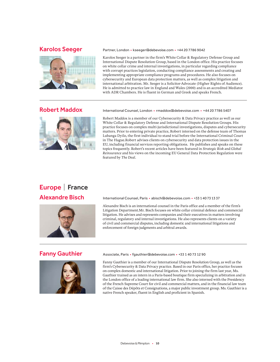

Karolos Seeger Partner, London • kseeger@debevoise.com • +44 20 7786 9042

Karolos Seeger is a partner in the firm's White Collar & Regulatory Defense Group and International Dispute Resolution Group, based in the London office. His practice focuses on white collar crime and internal investigations, in particular regarding compliance with corrupt practices legislation, conducting compliance assessments and creating and implementing appropriate compliance programs and procedures. He also focuses on cybersecurity and European data protection matters, as well as complex litigation and international arbitration. Mr. Seeger is a Solicitor-Advocate (Higher Rights of Audience). He is admitted to practice law in England and Wales (2000) and is an accredited Mediator with ADR Chambers. He is fluent in German and Greek and speaks French.

### Robert Maddox International Counsel, London • rmaddox@debevoise.com • +44 20 7786 5407



Robert Maddox is a member of our Cybersecurity & Data Privacy practice as well as our White Collar & Regulatory Defense and International Dispute Resolution Groups. His practice focuses on complex multi-jurisdictional investigations, disputes and cybersecurity matters. Prior to entering private practice, Robert interned on the defense team of Thomas Lubanga Dyilo, the first individual to stand trial before the International Criminal Court in The Hague.Robert advises clients on cybersecurity and data protection issues in the EU, including financial services reporting obligations. He publishes and speaks on these topics frequently. Robert's recent articles have been featured in *Strategic Risk* and *Global Reinsurance* and his views on the incoming EU General Data Protection Regulation were

# Europe | France



Alexandre Bisch International Counsel, Paris • abisch@debevoise.com • +33140731337

featured by *The Deal*.

Alexandre Bisch is an international counsel in the Paris office and a member of the firm's Litigation Department.Mr. Bisch focuses on white collar criminal defence and commercial litigation. He advises and represents companies and their executives in matters involving criminal, regulatory and internal investigations. He also represents clients on a variety of civil and commercial disputes, including domestic and international litigations and enforcement of foreign judgments and arbitral awards.



Fanny Gauthier Associate, Paris • fgauthier@debevoise.com • +33 1 40 73 12 90

Fanny Gauthier is a member of our International Dispute Resolution Group, as well as the firm's Cybersecurity & Data Privacy practice. Based in our Paris office, her practice focuses on complex domestic and international litigation. Prior to joining the firm last year, Ms. Gauthier trained as an intern in a Paris-based boutique firm specializing in arbitration and in the London office of a leading international law firm. She also interned with the Presidency of the French Supreme Court for civil and commercial matters, and in the financial law team of the Caisse des Dépôts et Consignations, a major public investment group. Ms. Gauthier is a native French speaker, fluent in English and proficient in Spanish.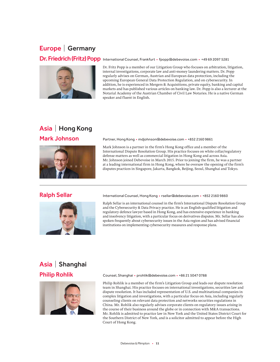### Europe | Germany

Dr. Friedrich (Fritz) Popp International Counsel, Frankfurt • fpopp@debevoise.com • +49 69 2097 5281



Dr. Fritz Popp is a member of our Litigation Group who focuses on arbitration, litigation, internal investigations, corporate law and anti-money laundering matters. Dr. Popp regularly advises on German, Austrian and European data protection, including the upcoming European General Data Protection Regulation, and on cybersecurity. In addition, he is experienced in Mergers & Acquisitions, private equity, banking and capital markets and has published various articles on banking law. Dr. Popp is also a lecturer at the Notarial Academy of the Austrian Chamber of Civil Law Notaries. He is a native German speaker and fluent in English.

## Asia | Hong Kong



Mark Johnson Partner, Hong Kong • mdjohnson@debevoise.com • +852 2160 9861

Mark Johnson is a partner in the firm's Hong Kong office and a member of the International Dispute Resolution Group. His practice focuses on white collar/regulatory defense matters as well as commercial litigation in Hong Kong and across Asia. Mr. Johnson joined Debevoise in March 2015. Prior to joining the firm, he was a partner at a leading international firm in Hong Kong, where he oversaw the opening of the firm's disputes practices in Singapore, Jakarta, Bangkok, Beijing, Seoul, Shanghai and Tokyo.



Ralph Sellar International Counsel, Hong Kong • rsellar@debevoise.com • +852 2160 9860

Ralph Sellar is an international counsel in the firm's International Dispute Resolution Group and the Cybersecurity & Data Privacy practice. He is an English-qualified litigation and regulatory defence lawyer based in Hong Kong, and has extensive experience in banking and insolvency litigation, with a particular focus on derivatives disputes. Mr. Sellar has also spoken frequently about cybersecurity issues in the Asia region and has advised financial institutions on implementing cybersecurity measures and response plans.

# Asia | Shanghai



Philip Rohlik Counsel, Shanghai • prohlik@debevoise.com • +86 21 5047 0788

Philip Rohlik is a member of the firm's Litigation Group and leads our dispute resolution team in Shanghai. His practice focuses on international investigations, securities law and dispute resolution. It has included representation of U.S. and multinational companies in complex litigation and investigations, with a particular focus on Asia, including regularly counseling clients on relevant data protection and networks securities regulations in China. Mr. Rohlik also regularly advises corporate clients on regulatory issues arising in the course of their business around the globe or in connection with M&A transactions. Mr. Rohlik is admitted to practice law in New York and the United States District Court for the Southern District of New York, and is a solicitor admitted to appear before the High Court of Hong Kong.